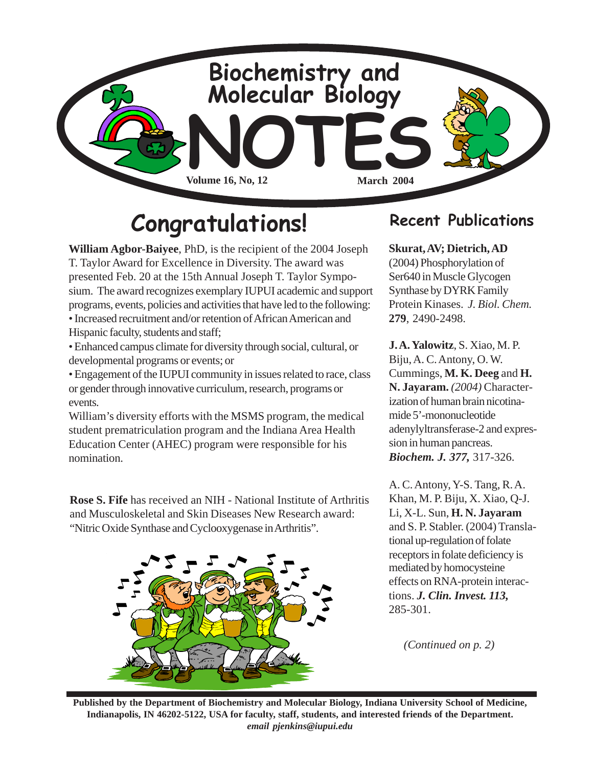

# **Congratulations! Recent Publications**

**William Agbor-Baiyee**, PhD, is the recipient of the 2004 Joseph T. Taylor Award for Excellence in Diversity. The award was presented Feb. 20 at the 15th Annual Joseph T. Taylor Symposium. The award recognizes exemplary IUPUI academic and support programs, events, policies and activities that have led to the following: • Increased recruitment and/or retention of African American and Hispanic faculty, students and staff;

• Enhanced campus climate for diversity through social, cultural, or developmental programs or events; or

• Engagement of the IUPUI community in issues related to race, class or gender through innovative curriculum, research, programs or events.

William's diversity efforts with the MSMS program, the medical student prematriculation program and the Indiana Area Health Education Center (AHEC) program were responsible for his nomination.

**Rose S. Fife** has received an NIH - National Institute of Arthritis and Musculoskeletal and Skin Diseases New Research award: "Nitric Oxide Synthase and Cyclooxygenase in Arthritis".



### **Skurat, AV; Dietrich, AD**

(2004) Phosphorylation of Ser640 in Muscle Glycogen Synthase by DYRK Family Protein Kinases. *J. Biol. Chem.* **279**, 2490-2498.

**J. A. Yalowitz**, S. Xiao, M. P. Biju, A. C. Antony, O. W. Cummings, **M. K. Deeg** and **H. N. Jayaram.** *(2004)* Characterization of human brain nicotinamide 5'-mononucleotide adenylyltransferase-2 and expression in human pancreas. *Biochem. J. 377,* 317-326.

A. C. Antony, Y-S. Tang, R. A. Khan, M. P. Biju, X. Xiao, Q-J. Li, X-L. Sun, **H. N. Jayaram** and S. P. Stabler. (2004) Translational up-regulation of folate receptors in folate deficiency is mediated by homocysteine effects on RNA-protein interactions. *J. Clin. Invest. 113,* 285-301.

*(Continued on p. 2)*

**Published by the Department of Biochemistry and Molecular Biology, Indiana University School of Medicine, Indianapolis, IN 46202-5122, USA for faculty, staff, students, and interested friends of the Department.** *email pjenkins@iupui.edu*